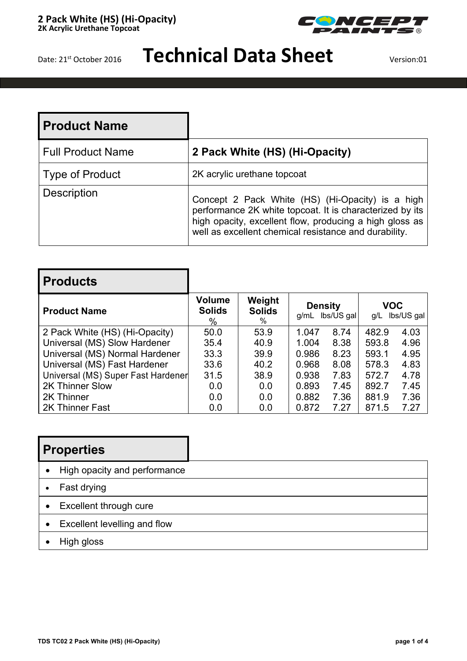

## Date: 21<sup>st</sup> October 2016 **Technical Data Sheet** Version:01

| l Product Name           |                                                                                                                                                                                                                                  |
|--------------------------|----------------------------------------------------------------------------------------------------------------------------------------------------------------------------------------------------------------------------------|
| <b>Full Product Name</b> | 2 Pack White (HS) (Hi-Opacity)                                                                                                                                                                                                   |
| <b>Type of Product</b>   | 2K acrylic urethane topcoat                                                                                                                                                                                                      |
| <b>Description</b>       | Concept 2 Pack White (HS) (Hi-Opacity) is a high<br>performance 2K white topcoat. It is characterized by its<br>high opacity, excellent flow, producing a high gloss as<br>well as excellent chemical resistance and durability. |

| <b>Products</b>                    |                                     |                                 |                        |            |                   |            |
|------------------------------------|-------------------------------------|---------------------------------|------------------------|------------|-------------------|------------|
| <b>Product Name</b>                | <b>Volume</b><br><b>Solids</b><br>% | Weight<br><b>Solids</b><br>$\%$ | <b>Density</b><br>g/mL | lbs/US gal | <b>VOC</b><br>q/L | lbs/US gal |
| 2 Pack White (HS) (Hi-Opacity)     | 50.0                                | 53.9                            | 1.047                  | 8.74       | 482.9             | 4.03       |
| Universal (MS) Slow Hardener       | 35.4                                | 40.9                            | 1.004                  | 8.38       | 593.8             | 4.96       |
| Universal (MS) Normal Hardener     | 33.3                                | 39.9                            | 0.986                  | 8.23       | 593.1             | 4.95       |
| Universal (MS) Fast Hardener       | 33.6                                | 40.2                            | 0.968                  | 8.08       | 578.3             | 4.83       |
| Universal (MS) Super Fast Hardener | 31.5                                | 38.9                            | 0.938                  | 7.83       | 572.7             | 4.78       |
| 2K Thinner Slow                    | 0.0                                 | 0.0                             | 0.893                  | 7.45       | 892.7             | 7.45       |
| 2K Thinner                         | 0.0                                 | 0.0                             | 0.882                  | 7.36       | 881.9             | 7.36       |
| 2K Thinner Fast                    | 0.0                                 | 0.0                             | 0.872                  | 7.27       | 871.5             | 7.27       |

### **Properties**

- High opacity and performance
- Fast drying
- Excellent through cure
- Excellent levelling and flow
- High gloss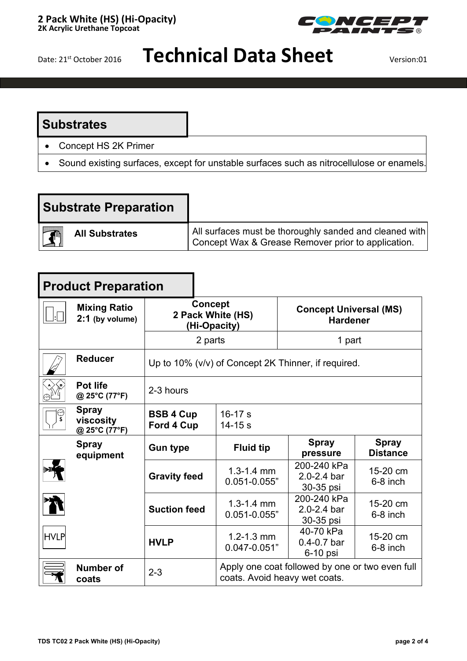

# Date: 21<sup>st</sup> October 2016 **Technical Data Sheet** Version:01

#### **Substrates**

- Concept HS 2K Primer
- Sound existing surfaces, except for unstable surfaces such as nitrocellulose or enamels.

| <b>Substrate Preparation</b> |                                                         |
|------------------------------|---------------------------------------------------------|
| <b>All Substrates</b>        | All surfaces must be thoroughly sanded and cleaned with |
| $\blacksquare$               | Concept Wax & Grease Remover prior to application.      |

| <b>Product Preparation</b> |                                            |                                                     |                                                                                  |                                                  |                                 |  |
|----------------------------|--------------------------------------------|-----------------------------------------------------|----------------------------------------------------------------------------------|--------------------------------------------------|---------------------------------|--|
|                            | <b>Mixing Ratio</b><br>2:1 (by volume)     | <b>Concept</b><br>2 Pack White (HS)<br>(Hi-Opacity) |                                                                                  | <b>Concept Universal (MS)</b><br><b>Hardener</b> |                                 |  |
|                            |                                            | 2 parts                                             |                                                                                  | 1 part                                           |                                 |  |
|                            | <b>Reducer</b>                             | Up to 10% (v/v) of Concept 2K Thinner, if required. |                                                                                  |                                                  |                                 |  |
|                            | Pot life<br>@ 25°C (77°F)                  | 2-3 hours                                           |                                                                                  |                                                  |                                 |  |
| ္မ                         | <b>Spray</b><br>viscosity<br>@ 25°C (77°F) | <b>BSB 4 Cup</b><br>Ford 4 Cup                      | $16-17 s$<br>$14 - 15s$                                                          |                                                  |                                 |  |
|                            | <b>Spray</b><br>equipment                  | <b>Gun type</b>                                     | <b>Fluid tip</b>                                                                 | <b>Spray</b><br>pressure                         | <b>Spray</b><br><b>Distance</b> |  |
|                            |                                            | <b>Gravity feed</b>                                 | $1.3 - 1.4$ mm<br>$0.051 - 0.055$ "                                              | 200-240 kPa<br>2.0-2.4 bar<br>30-35 psi          | 15-20 cm<br>6-8 inch            |  |
|                            |                                            | <b>Suction feed</b>                                 | $1.3 - 1.4$ mm<br>$0.051 - 0.055$ "                                              | 200-240 kPa<br>2.0-2.4 bar<br>30-35 psi          | 15-20 cm<br>6-8 inch            |  |
| <b>HVLP</b>                |                                            | <b>HVLP</b>                                         | $1.2 - 1.3$ mm<br>$0.047 - 0.051"$                                               | 40-70 kPa<br>$0.4 - 0.7$ bar<br>6-10 psi         | 15-20 cm<br>6-8 inch            |  |
|                            | Number of<br>coats                         | $2 - 3$                                             | Apply one coat followed by one or two even full<br>coats. Avoid heavy wet coats. |                                                  |                                 |  |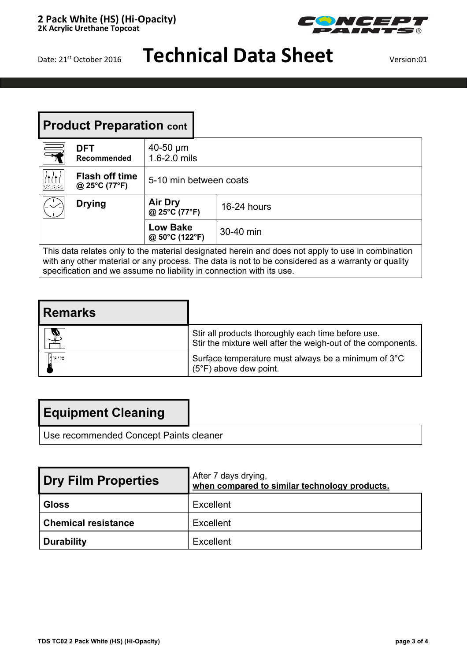

# Date: 21<sup>st</sup> October 2016 **Technical Data Sheet**

| <b>Product Preparation cont</b>                                                                   |                                               |                                                |           |  |
|---------------------------------------------------------------------------------------------------|-----------------------------------------------|------------------------------------------------|-----------|--|
| $\equiv$                                                                                          | <b>DFT</b><br>Recommended                     | $40-50 \mu m$<br>1.6-2.0 mils                  |           |  |
| <b>武室</b>                                                                                         | <b>Flash off time</b><br>@ 25 $°C$ (77 $°F$ ) | 5-10 min between coats                         |           |  |
|                                                                                                   | <b>Drying</b>                                 | <b>Air Dry</b><br>16-24 hours<br>@ 25°C (77°F) |           |  |
|                                                                                                   |                                               | <b>Low Bake</b><br>@ 50°C (122°F)              | 30-40 min |  |
| This data relates only to the material designated herein and does not apply to use in combination |                                               |                                                |           |  |

with any other material or any process. The data is not to be considered as a warranty or quality specification and we assume no liability in connection with its use.

| l Remarks'      |                                                                                                                    |
|-----------------|--------------------------------------------------------------------------------------------------------------------|
| $\mathbf{\Psi}$ | Stir all products thoroughly each time before use.<br>Stir the mixture well after the weigh-out of the components. |
| ∄°F≀°C          | Surface temperature must always be a minimum of 3°C<br>$(5^{\circ}F)$ above dew point.                             |

### **Equipment Cleaning**

Use recommended Concept Paints cleaner

| <b>Dry Film Properties</b> | After 7 days drying,<br>when compared to similar technology products. |
|----------------------------|-----------------------------------------------------------------------|
| Gloss                      | Excellent                                                             |
| <b>Chemical resistance</b> | Excellent                                                             |
| Durability                 | Excellent                                                             |